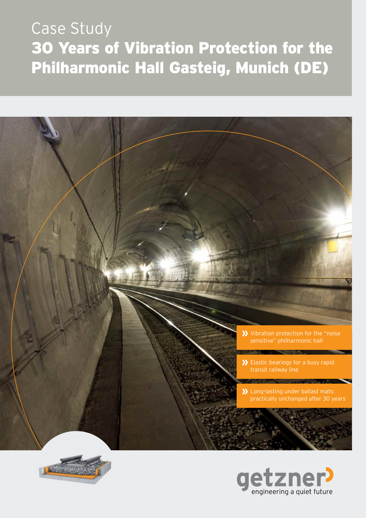# Case Study 30 Years of Vibration Protection for the Philharmonic Hall Gasteig, Munich (DE)





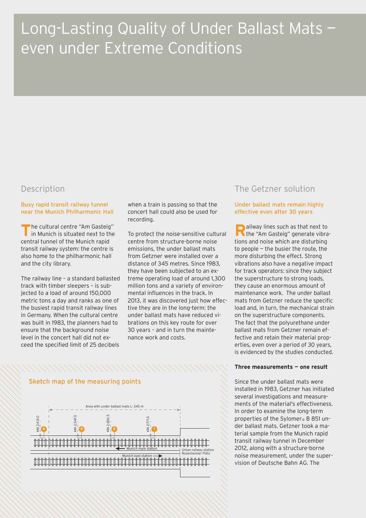## Long-Lasting Quality of Under Ballast Mats even under Extreme Conditions

### Description

#### Busy rapid transit railway tunnel near the Munich Philharmonic Hall

**T** he cultural centre "Am Gasteig" in Munich is situated next to the central tunnel of the Munich rapid transit railway system: the centre is also home to the philharmonic hall and the city library.

The railway line – a standard ballasted track with timber sleepers – is subjected to a load of around 150,000 metric tons a day and ranks as one of the busiest rapid transit railway lines in Germany. When the cultural centre was built in 1983, the planners had to ensure that the background noise level in the concert hall did not exceed the specified limit of 25 decibels

when a train is passing so that the concert hall could also be used for recording.

To protect the noise-sensitive cultural centre from structure-borne noise emissions, the under ballast mats from Getzner were installed over a distance of 345 metres. Since 1983, they have been subjected to an extreme operating load of around 1,300 million tons and a variety of environmental influences in the track. In 2013, it was discovered just how effective they are in the long-term: the under ballast mats have reduced vibrations on this key route for over 30 years – and in turn the maintenance work and costs.

## The Getzner solution

#### Under ballast mats remain highly effective even after 30 years

**R** ailway lines such as that next to<br>
the "Am Gasteig" generate vibra **N** the "Am Gasteig" generate vibrations and noise which are disturbing to people — the busier the route, the more disturbing the effect. Strong vibrations also have a negative impact for track operators: since they subject the superstructure to strong loads, they cause an enormous amount of maintenance work. The under ballast mats from Getzner reduce the specific load and, in turn, the mechanical strain on the superstructure components. The fact that the polyurethane under ballast mats from Getzner remain effective and retain their material properties, even over a period of 30 years, is evidenced by the studies conducted.

#### **Three measurements — one result**

Since the under ballast mats were installed in 1983, Getzner has initiated several investigations and measurements of the material's effectiveness. In order to examine the long-term properties of the Sylomer® B 851 under ballast mats, Getzner took a material sample from the Munich rapid transit railway tunnel in December 2012, along with a structure-borne noise measurement, under the supervision of Deutsche Bahn AG. The

#### Sketch map of the measuring points Area with under ballast mats L: 345 mKM 2,547.0  $\frac{KM}{2}$ ,431.0  $KM 2,771.5$  $\geq$ **6 5 2 1** Munich main station Urban railway station Rosenheimer Platz Munich east station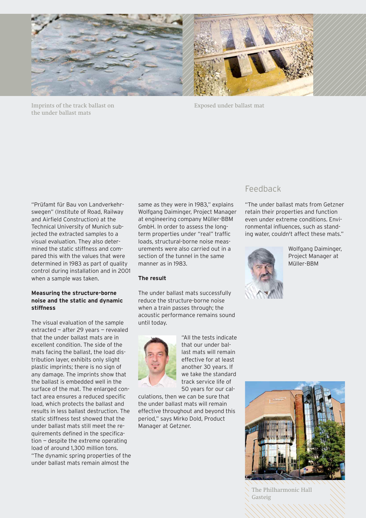

Imprints of the track ballast on the under ballast mats

Exposed under ballast mat

"Prüfamt für Bau von Landverkehrswegen" (Institute of Road, Railway and Airfield Construction) at the Technical University of Munich subjected the extracted samples to a visual evaluation. They also determined the static stiffness and compared this with the values that were determined in 1983 as part of quality control during installation and in 2001 when a sample was taken.

#### **Measuring the structure-borne noise and the static and dynamic stiffness**

The visual evaluation of the sample extracted — after 29 years — revealed that the under ballast mats are in excellent condition. The side of the mats facing the ballast, the load distribution layer, exhibits only slight plastic imprints; there is no sign of any damage. The imprints show that the ballast is embedded well in the surface of the mat. The enlarged contact area ensures a reduced specific load, which protects the ballast and results in less ballast destruction. The static stiffness test showed that the under ballast mats still meet the requirements defined in the specification — despite the extreme operating load of around 1,300 million tons. "The dynamic spring properties of the under ballast mats remain almost the

same as they were in 1983," explains Wolfgang Daiminger, Project Manager at engineering company Müller-BBM GmbH. In order to assess the longterm properties under "real" traffic loads, structural-borne noise measurements were also carried out in a section of the tunnel in the same manner as in 1983.

#### **The result**

The under ballast mats successfully reduce the structure-borne noise when a train passes through; the acoustic performance remains sound until today.



"All the tests indicate that our under ballast mats will remain effective for at least another 30 years. If we take the standard track service life of 50 years for our cal-

culations, then we can be sure that the under ballast mats will remain effective throughout and beyond this period," says Mirko Dold, Product Manager at Getzner.

## Feedback

"The under ballast mats from Getzner retain their properties and function even under extreme conditions. Environmental influences, such as standing water, couldn't affect these mats."



Wolfgang Daiminger, Project Manager at Müller-BBM



The Philharmonic Hall Gasteig